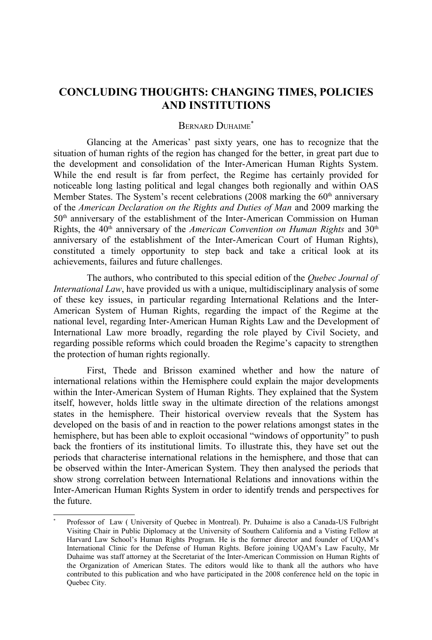## **CONCLUDING THOUGHTS: CHANGING TIMES, POLICIES AND INSTITUTIONS**

## BERNARD DUHAIME<sup>[\\*](#page-0-0)</sup>

Glancing at the Americas' past sixty years, one has to recognize that the situation of human rights of the region has changed for the better, in great part due to the development and consolidation of the Inter-American Human Rights System. While the end result is far from perfect, the Regime has certainly provided for noticeable long lasting political and legal changes both regionally and within OAS Member States. The System's recent celebrations  $(2008 \text{ marking the } 60^{\text{th}} \text{ anniversity})$ of the *American Declaration on the Rights and Duties of Man* and 2009 marking the 50th anniversary of the establishment of the Inter-American Commission on Human Rights, the 40<sup>th</sup> anniversary of the *American Convention on Human Rights* and 30<sup>th</sup> anniversary of the establishment of the Inter-American Court of Human Rights), constituted a timely opportunity to step back and take a critical look at its achievements, failures and future challenges.

The authors, who contributed to this special edition of the *Quebec Journal of International Law*, have provided us with a unique, multidisciplinary analysis of some of these key issues, in particular regarding International Relations and the Inter-American System of Human Rights, regarding the impact of the Regime at the national level, regarding Inter-American Human Rights Law and the Development of International Law more broadly, regarding the role played by Civil Society, and regarding possible reforms which could broaden the Regime's capacity to strengthen the protection of human rights regionally.

First, Thede and Brisson examined whether and how the nature of international relations within the Hemisphere could explain the major developments within the Inter-American System of Human Rights. They explained that the System itself, however, holds little sway in the ultimate direction of the relations amongst states in the hemisphere. Their historical overview reveals that the System has developed on the basis of and in reaction to the power relations amongst states in the hemisphere, but has been able to exploit occasional "windows of opportunity" to push back the frontiers of its institutional limits. To illustrate this, they have set out the periods that characterise international relations in the hemisphere, and those that can be observed within the Inter-American System. They then analysed the periods that show strong correlation between International Relations and innovations within the Inter-American Human Rights System in order to identify trends and perspectives for the future.

<span id="page-0-0"></span><sup>\*</sup> Professor of Law ( University of Quebec in Montreal). Pr. Duhaime is also a Canada-US Fulbright Visiting Chair in Public Diplomacy at the University of Southern California and a Visting Fellow at Harvard Law School's Human Rights Program. He is the former director and founder of UQAM's International Clinic for the Defense of Human Rights. Before joining UQAM's Law Faculty, Mr Duhaime was staff attorney at the Secretariat of the Inter-American Commission on Human Rights of the Organization of American States. The editors would like to thank all the authors who have contributed to this publication and who have participated in the 2008 conference held on the topic in Quebec City.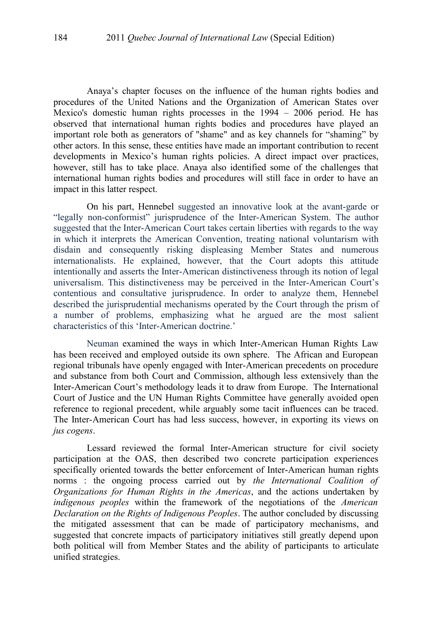Anaya's chapter focuses on the influence of the human rights bodies and procedures of the United Nations and the Organization of American States over Mexico's domestic human rights processes in the 1994 – 2006 period. He has observed that international human rights bodies and procedures have played an important role both as generators of "shame" and as key channels for "shaming" by other actors. In this sense, these entities have made an important contribution to recent developments in Mexico's human rights policies. A direct impact over practices, however, still has to take place. Anaya also identified some of the challenges that international human rights bodies and procedures will still face in order to have an impact in this latter respect.

On his part, Hennebel suggested an innovative look at the avant-garde or "legally non-conformist" jurisprudence of the Inter-American System. The author suggested that the Inter-American Court takes certain liberties with regards to the way in which it interprets the American Convention, treating national voluntarism with disdain and consequently risking displeasing Member States and numerous internationalists. He explained, however, that the Court adopts this attitude intentionally and asserts the Inter-American distinctiveness through its notion of legal universalism. This distinctiveness may be perceived in the Inter-American Court's contentious and consultative jurisprudence. In order to analyze them, Hennebel described the jurisprudential mechanisms operated by the Court through the prism of a number of problems, emphasizing what he argued are the most salient characteristics of this 'Inter-American doctrine.'

Neuman examined the ways in which Inter-American Human Rights Law has been received and employed outside its own sphere. The African and European regional tribunals have openly engaged with Inter-American precedents on procedure and substance from both Court and Commission, although less extensively than the Inter-American Court's methodology leads it to draw from Europe. The International Court of Justice and the UN Human Rights Committee have generally avoided open reference to regional precedent, while arguably some tacit influences can be traced. The Inter-American Court has had less success, however, in exporting its views on *jus cogens*.

Lessard reviewed the formal Inter-American structure for civil society participation at the OAS, then described two concrete participation experiences specifically oriented towards the better enforcement of Inter-American human rights norms : the ongoing process carried out by *the International Coalition of Organizations for Human Rights in the Americas*, and the actions undertaken by *indigenous peoples* within the framework of the negotiations of the *American Declaration on the Rights of Indigenous Peoples*. The author concluded by discussing the mitigated assessment that can be made of participatory mechanisms, and suggested that concrete impacts of participatory initiatives still greatly depend upon both political will from Member States and the ability of participants to articulate unified strategies.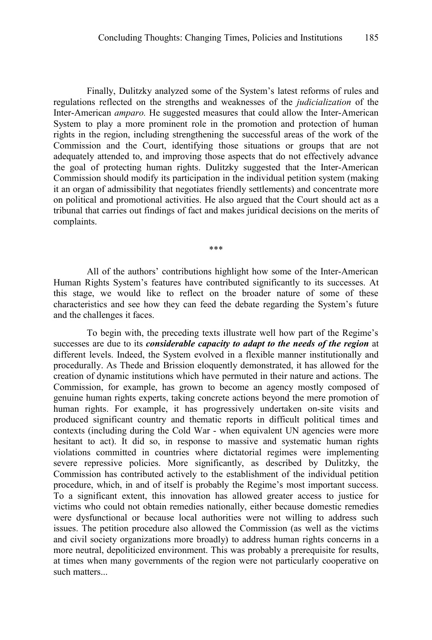Finally, Dulitzky analyzed some of the System's latest reforms of rules and regulations reflected on the strengths and weaknesses of the *judicialization* of the Inter-American *amparo.* He suggested measures that could allow the Inter-American System to play a more prominent role in the promotion and protection of human rights in the region, including strengthening the successful areas of the work of the Commission and the Court, identifying those situations or groups that are not adequately attended to, and improving those aspects that do not effectively advance the goal of protecting human rights. Dulitzky suggested that the Inter-American Commission should modify its participation in the individual petition system (making it an organ of admissibility that negotiates friendly settlements) and concentrate more on political and promotional activities. He also argued that the Court should act as a tribunal that carries out findings of fact and makes juridical decisions on the merits of complaints.

All of the authors' contributions highlight how some of the Inter-American Human Rights System's features have contributed significantly to its successes. At this stage, we would like to reflect on the broader nature of some of these characteristics and see how they can feed the debate regarding the System's future and the challenges it faces.

\*\*\*

To begin with, the preceding texts illustrate well how part of the Regime's successes are due to its *considerable capacity to adapt to the needs of the region* at different levels. Indeed, the System evolved in a flexible manner institutionally and procedurally. As Thede and Brission eloquently demonstrated, it has allowed for the creation of dynamic institutions which have permuted in their nature and actions. The Commission, for example, has grown to become an agency mostly composed of genuine human rights experts, taking concrete actions beyond the mere promotion of human rights. For example, it has progressively undertaken on-site visits and produced significant country and thematic reports in difficult political times and contexts (including during the Cold War - when equivalent UN agencies were more hesitant to act). It did so, in response to massive and systematic human rights violations committed in countries where dictatorial regimes were implementing severe repressive policies. More significantly, as described by Dulitzky, the Commission has contributed actively to the establishment of the individual petition procedure, which, in and of itself is probably the Regime's most important success. To a significant extent, this innovation has allowed greater access to justice for victims who could not obtain remedies nationally, either because domestic remedies were dysfunctional or because local authorities were not willing to address such issues. The petition procedure also allowed the Commission (as well as the victims and civil society organizations more broadly) to address human rights concerns in a more neutral, depoliticized environment. This was probably a prerequisite for results, at times when many governments of the region were not particularly cooperative on such matters.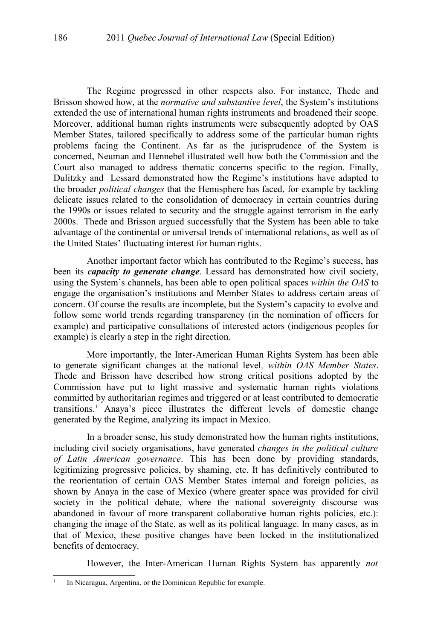The Regime progressed in other respects also. For instance, Thede and Brisson showed how, at the *normative and substantive level*, the System's institutions extended the use of international human rights instruments and broadened their scope. Moreover, additional human rights instruments were subsequently adopted by OAS Member States, tailored specifically to address some of the particular human rights problems facing the Continent. As far as the jurisprudence of the System is concerned, Neuman and Hennebel illustrated well how both the Commission and the Court also managed to address thematic concerns specific to the region. Finally, Dulitzky and Lessard demonstrated how the Regime's institutions have adapted to the broader *political changes* that the Hemisphere has faced, for example by tackling delicate issues related to the consolidation of democracy in certain countries during the 1990s or issues related to security and the struggle against terrorism in the early 2000s. Thede and Brisson argued successfully that the System has been able to take advantage of the continental or universal trends of international relations, as well as of the United States' fluctuating interest for human rights.

Another important factor which has contributed to the Regime's success, has been its *capacity to generate change*. Lessard has demonstrated how civil society, using the System's channels, has been able to open political spaces *within the OAS* to engage the organisation's institutions and Member States to address certain areas of concern. Of course the results are incomplete, but the System's capacity to evolve and follow some world trends regarding transparency (in the nomination of officers for example) and participative consultations of interested actors (indigenous peoples for example) is clearly a step in the right direction.

More importantly, the Inter-American Human Rights System has been able to generate significant changes at the national level*, within OAS Member States*. Thede and Brisson have described how strong critical positions adopted by the Commission have put to light massive and systematic human rights violations committed by authoritarian regimes and triggered or at least contributed to democratic transitions.[1](#page-3-0) Anaya's piece illustrates the different levels of domestic change generated by the Regime, analyzing its impact in Mexico.

In a broader sense, his study demonstrated how the human rights institutions, including civil society organisations, have generated *changes in the political culture of Latin American governance*. This has been done by providing standards, legitimizing progressive policies, by shaming, etc. It has definitively contributed to the reorientation of certain OAS Member States internal and foreign policies, as shown by Anaya in the case of Mexico (where greater space was provided for civil society in the political debate, where the national sovereignty discourse was abandoned in favour of more transparent collaborative human rights policies, etc.): changing the image of the State, as well as its political language. In many cases, as in that of Mexico, these positive changes have been locked in the institutionalized benefits of democracy.

However, the Inter-American Human Rights System has apparently *not*

<span id="page-3-0"></span><sup>1</sup> In Nicaragua, Argentina, or the Dominican Republic for example.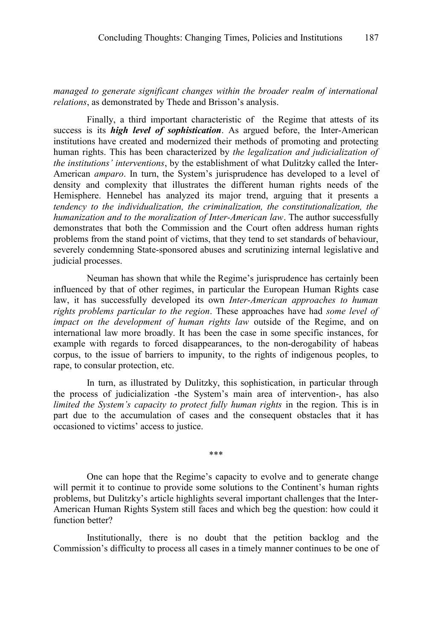*managed to generate significant changes within the broader realm of international relations*, as demonstrated by Thede and Brisson's analysis.

Finally, a third important characteristic of the Regime that attests of its success is its *high level of sophistication*. As argued before, the Inter-American institutions have created and modernized their methods of promoting and protecting human rights. This has been characterized by *the legalization and judicialization of the institutions' interventions*, by the establishment of what Dulitzky called the Inter-American *amparo*. In turn, the System's jurisprudence has developed to a level of density and complexity that illustrates the different human rights needs of the Hemisphere. Hennebel has analyzed its major trend, arguing that it presents a *tendency to the individualization, the criminalization, the constitutionalization, the humanization and to the moralization of Inter-American law*. The author successfully demonstrates that both the Commission and the Court often address human rights problems from the stand point of victims, that they tend to set standards of behaviour, severely condemning State-sponsored abuses and scrutinizing internal legislative and judicial processes.

Neuman has shown that while the Regime's jurisprudence has certainly been influenced by that of other regimes, in particular the European Human Rights case law, it has successfully developed its own *Inter-American approaches to human rights problems particular to the region*. These approaches have had *some level of impact on the development of human rights law* outside of the Regime, and on international law more broadly. It has been the case in some specific instances, for example with regards to forced disappearances, to the non-derogability of habeas corpus, to the issue of barriers to impunity, to the rights of indigenous peoples, to rape, to consular protection, etc.

In turn, as illustrated by Dulitzky, this sophistication, in particular through the process of judicialization -the System's main area of intervention-, has also *limited the System's capacity to protect fully human rights* in the region. This is in part due to the accumulation of cases and the consequent obstacles that it has occasioned to victims' access to justice.

\*\*\*

One can hope that the Regime's capacity to evolve and to generate change will permit it to continue to provide some solutions to the Continent's human rights problems, but Dulitzky's article highlights several important challenges that the Inter-American Human Rights System still faces and which beg the question: how could it function better?

Institutionally, there is no doubt that the petition backlog and the Commission's difficulty to process all cases in a timely manner continues to be one of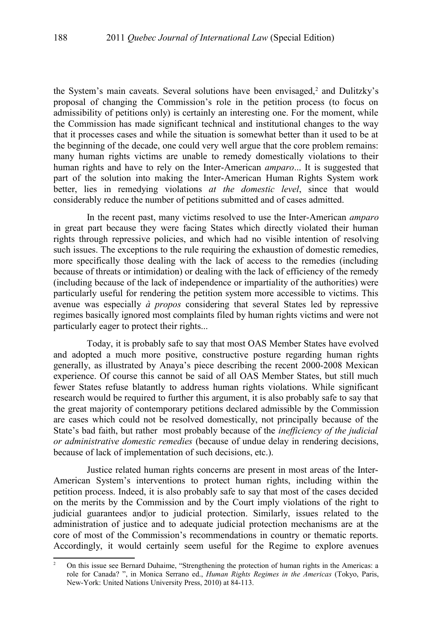the System's main caveats. Several solutions have been envisaged,<sup>[2](#page-5-0)</sup> and Dulitzky's proposal of changing the Commission's role in the petition process (to focus on admissibility of petitions only) is certainly an interesting one. For the moment, while the Commission has made significant technical and institutional changes to the way that it processes cases and while the situation is somewhat better than it used to be at the beginning of the decade, one could very well argue that the core problem remains: many human rights victims are unable to remedy domestically violations to their human rights and have to rely on the Inter-American *amparo*... It is suggested that part of the solution into making the Inter-American Human Rights System work better, lies in remedying violations *at the domestic level*, since that would considerably reduce the number of petitions submitted and of cases admitted.

In the recent past, many victims resolved to use the Inter-American *amparo* in great part because they were facing States which directly violated their human rights through repressive policies, and which had no visible intention of resolving such issues. The exceptions to the rule requiring the exhaustion of domestic remedies, more specifically those dealing with the lack of access to the remedies (including because of threats or intimidation) or dealing with the lack of efficiency of the remedy (including because of the lack of independence or impartiality of the authorities) were particularly useful for rendering the petition system more accessible to victims. This avenue was especially *à propos* considering that several States led by repressive regimes basically ignored most complaints filed by human rights victims and were not particularly eager to protect their rights...

Today, it is probably safe to say that most OAS Member States have evolved and adopted a much more positive, constructive posture regarding human rights generally, as illustrated by Anaya's piece describing the recent 2000-2008 Mexican experience. Of course this cannot be said of all OAS Member States, but still much fewer States refuse blatantly to address human rights violations. While significant research would be required to further this argument, it is also probably safe to say that the great majority of contemporary petitions declared admissible by the Commission are cases which could not be resolved domestically, not principally because of the State's bad faith, but rather most probably because of the *inefficiency of the judicial or administrative domestic remedies* (because of undue delay in rendering decisions, because of lack of implementation of such decisions, etc.).

Justice related human rights concerns are present in most areas of the Inter-American System's interventions to protect human rights, including within the petition process. Indeed, it is also probably safe to say that most of the cases decided on the merits by the Commission and by the Court imply violations of the right to judicial guarantees and|or to judicial protection. Similarly, issues related to the administration of justice and to adequate judicial protection mechanisms are at the core of most of the Commission's recommendations in country or thematic reports. Accordingly, it would certainly seem useful for the Regime to explore avenues

<span id="page-5-0"></span><sup>2</sup> On this issue see Bernard Duhaime, "Strengthening the protection of human rights in the Americas: a role for Canada? ", in Monica Serrano ed., *Human Rights Regimes in the Americas* (Tokyo, Paris, New-York: United Nations University Press, 2010) at 84-113.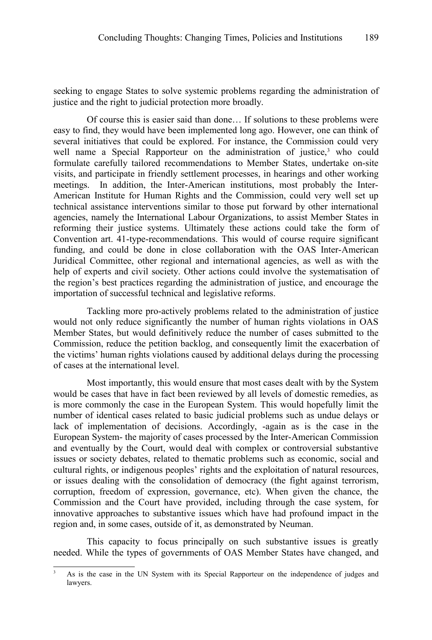seeking to engage States to solve systemic problems regarding the administration of justice and the right to judicial protection more broadly.

Of course this is easier said than done… If solutions to these problems were easy to find, they would have been implemented long ago. However, one can think of several initiatives that could be explored. For instance, the Commission could very well name a Special Rapporteur on the administration of justice,<sup>[3](#page-6-0)</sup> who could formulate carefully tailored recommendations to Member States, undertake on-site visits, and participate in friendly settlement processes, in hearings and other working meetings. In addition, the Inter-American institutions, most probably the Inter-American Institute for Human Rights and the Commission, could very well set up technical assistance interventions similar to those put forward by other international agencies, namely the International Labour Organizations, to assist Member States in reforming their justice systems. Ultimately these actions could take the form of Convention art. 41-type-recommendations. This would of course require significant funding, and could be done in close collaboration with the OAS Inter-American Juridical Committee, other regional and international agencies, as well as with the help of experts and civil society. Other actions could involve the systematisation of the region's best practices regarding the administration of justice, and encourage the importation of successful technical and legislative reforms.

Tackling more pro-actively problems related to the administration of justice would not only reduce significantly the number of human rights violations in OAS Member States, but would definitively reduce the number of cases submitted to the Commission, reduce the petition backlog, and consequently limit the exacerbation of the victims' human rights violations caused by additional delays during the processing of cases at the international level.

Most importantly, this would ensure that most cases dealt with by the System would be cases that have in fact been reviewed by all levels of domestic remedies, as is more commonly the case in the European System. This would hopefully limit the number of identical cases related to basic judicial problems such as undue delays or lack of implementation of decisions. Accordingly, -again as is the case in the European System- the majority of cases processed by the Inter-American Commission and eventually by the Court, would deal with complex or controversial substantive issues or society debates, related to thematic problems such as economic, social and cultural rights, or indigenous peoples' rights and the exploitation of natural resources, or issues dealing with the consolidation of democracy (the fight against terrorism, corruption, freedom of expression, governance, etc). When given the chance, the Commission and the Court have provided, including through the case system, for innovative approaches to substantive issues which have had profound impact in the region and, in some cases, outside of it, as demonstrated by Neuman.

This capacity to focus principally on such substantive issues is greatly needed. While the types of governments of OAS Member States have changed, and

<span id="page-6-0"></span><sup>&</sup>lt;sup>3</sup> As is the case in the UN System with its Special Rapporteur on the independence of judges and lawyers.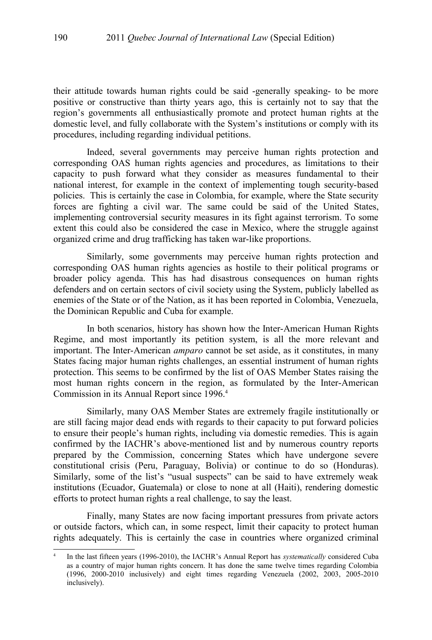their attitude towards human rights could be said -generally speaking- to be more positive or constructive than thirty years ago, this is certainly not to say that the region's governments all enthusiastically promote and protect human rights at the domestic level, and fully collaborate with the System's institutions or comply with its procedures, including regarding individual petitions.

Indeed, several governments may perceive human rights protection and corresponding OAS human rights agencies and procedures, as limitations to their capacity to push forward what they consider as measures fundamental to their national interest, for example in the context of implementing tough security-based policies. This is certainly the case in Colombia, for example, where the State security forces are fighting a civil war. The same could be said of the United States, implementing controversial security measures in its fight against terrorism. To some extent this could also be considered the case in Mexico, where the struggle against organized crime and drug trafficking has taken war-like proportions.

Similarly, some governments may perceive human rights protection and corresponding OAS human rights agencies as hostile to their political programs or broader policy agenda. This has had disastrous consequences on human rights defenders and on certain sectors of civil society using the System, publicly labelled as enemies of the State or of the Nation, as it has been reported in Colombia, Venezuela, the Dominican Republic and Cuba for example.

In both scenarios, history has shown how the Inter-American Human Rights Regime, and most importantly its petition system, is all the more relevant and important. The Inter-American *amparo* cannot be set aside, as it constitutes, in many States facing major human rights challenges, an essential instrument of human rights protection. This seems to be confirmed by the list of OAS Member States raising the most human rights concern in the region, as formulated by the Inter-American Commission in its Annual Report since 1996.[4](#page-7-0)

Similarly, many OAS Member States are extremely fragile institutionally or are still facing major dead ends with regards to their capacity to put forward policies to ensure their people's human rights, including via domestic remedies. This is again confirmed by the IACHR's above-mentioned list and by numerous country reports prepared by the Commission, concerning States which have undergone severe constitutional crisis (Peru, Paraguay, Bolivia) or continue to do so (Honduras). Similarly, some of the list's "usual suspects" can be said to have extremely weak institutions (Ecuador, Guatemala) or close to none at all (Haiti), rendering domestic efforts to protect human rights a real challenge, to say the least.

Finally, many States are now facing important pressures from private actors or outside factors, which can, in some respect, limit their capacity to protect human rights adequately. This is certainly the case in countries where organized criminal

<span id="page-7-0"></span><sup>4</sup> In the last fifteen years (1996-2010), the IACHR's Annual Report has *systematically* considered Cuba as a country of major human rights concern. It has done the same twelve times regarding Colombia (1996, 2000-2010 inclusively) and eight times regarding Venezuela (2002, 2003, 2005-2010 inclusively).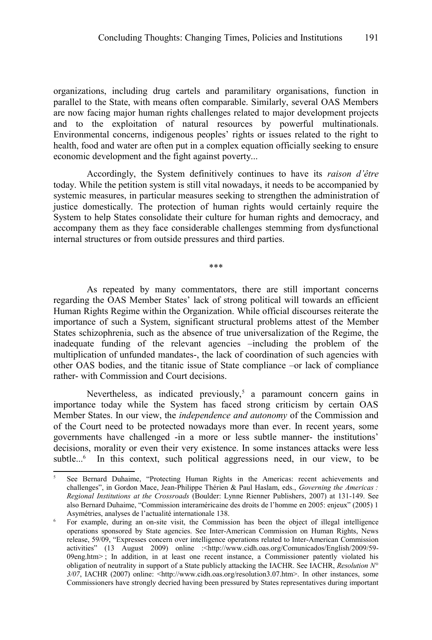organizations, including drug cartels and paramilitary organisations, function in parallel to the State, with means often comparable. Similarly, several OAS Members are now facing major human rights challenges related to major development projects and to the exploitation of natural resources by powerful multinationals. Environmental concerns, indigenous peoples' rights or issues related to the right to health, food and water are often put in a complex equation officially seeking to ensure economic development and the fight against poverty...

Accordingly, the System definitively continues to have its *raison d'être* today. While the petition system is still vital nowadays, it needs to be accompanied by systemic measures, in particular measures seeking to strengthen the administration of justice domestically. The protection of human rights would certainly require the System to help States consolidate their culture for human rights and democracy, and accompany them as they face considerable challenges stemming from dysfunctional internal structures or from outside pressures and third parties.

\*\*\*

As repeated by many commentators, there are still important concerns regarding the OAS Member States' lack of strong political will towards an efficient Human Rights Regime within the Organization. While official discourses reiterate the importance of such a System, significant structural problems attest of the Member States schizophrenia, such as the absence of true universalization of the Regime, the inadequate funding of the relevant agencies –including the problem of the multiplication of unfunded mandates-, the lack of coordination of such agencies with other OAS bodies, and the titanic issue of State compliance –or lack of compliance rather- with Commission and Court decisions.

Nevertheless, as indicated previously,<sup>[5](#page-8-0)</sup> a paramount concern gains in importance today while the System has faced strong criticism by certain OAS Member States. In our view, the *independence and autonomy* of the Commission and of the Court need to be protected nowadays more than ever. In recent years, some governments have challenged -in a more or less subtle manner- the institutions' decisions, morality or even their very existence. In some instances attacks were less subtle $\ldots$ <sup>[6](#page-8-1)</sup> In this context, such political aggressions need, in our view, to be

<span id="page-8-0"></span><sup>5</sup> See Bernard Duhaime, "Protecting Human Rights in the Americas: recent achievements and challenges", in Gordon Mace, Jean-Philippe Thérien & Paul Haslam, eds., *Governing the Americas : Regional Institutions at the Crossroads* (Boulder: Lynne Rienner Publishers, 2007) at 131-149. See also Bernard Duhaime, "Commission interaméricaine des droits de l'homme en 2005: enjeux" (2005) 1 Asymétries, analyses de l'actualité internationale 138.

<span id="page-8-1"></span><sup>&</sup>lt;sup>6</sup> For example, during an on-site visit, the Commission has been the object of illegal intelligence operations sponsored by State agencies. See Inter-American Commission on Human Rights, News release, 59/09, "Expresses concern over intelligence operations related to Inter-American Commission activities" (13 August 2009) online :<http://www.cidh.oas.org/Comunicados/English/2009/59-09eng.htm> ; In addition, in at least one recent instance, a Commissioner patently violated his obligation of neutrality in support of a State publicly attacking the IACHR. See IACHR, *Resolution N° 3/07*, IACHR (2007) online: <http://www.cidh.oas.org/resolution3.07.htm>. In other instances, some Commissioners have strongly decried having been pressured by States representatives during important